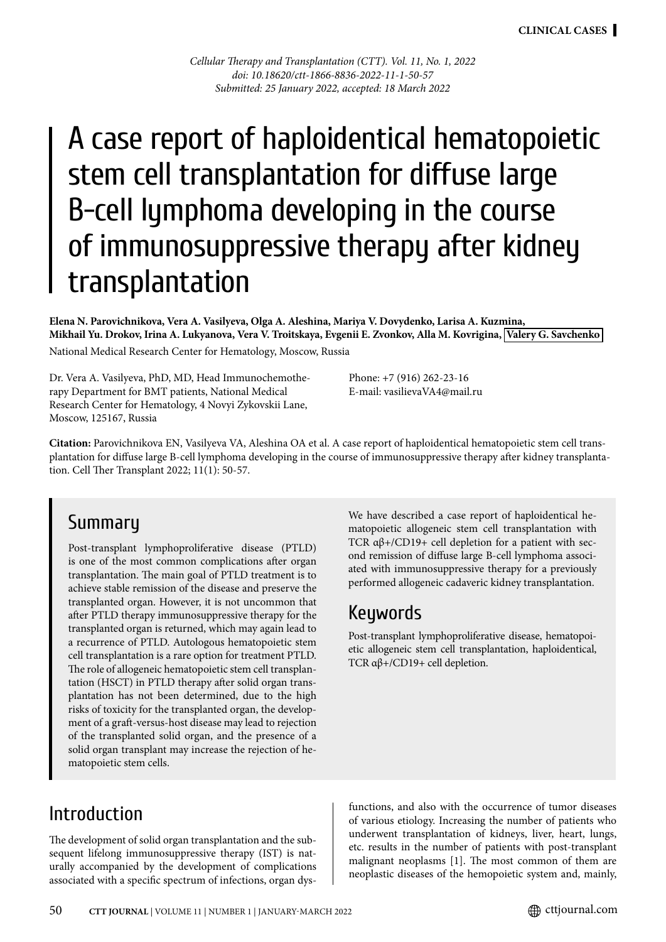*Cellular Therapy and Transplantation (CTT). Vol. 11, No. 1, 2022 doi: 10.18620/ctt-1866-8836-2022-11-1-50-57 Submitted: 25 January 2022, accepted: 18 March 2022*

# A case report of haploidentical hematopoietic stem cell transplantation for diffuse large B-cell lymphoma developing in the course of immunosuppressive therapy after kidney transplantation

**Elena N. Parovichnikova, Vera A. Vasilyeva, Olga A. Aleshina, Mariya V. Dovydenko, Larisa A. Kuzmina, Mikhail Yu. Drokov, Irina A. Lukyanova, Vera V. Troitskaya, Evgenii E. Zvonkov, Alla M. Kovrigina, Valery G. Savchenko**  National Medical Research Center for Hematology, Moscow, Russia

Dr. Vera A. Vasilyeva, PhD, MD, Head Immunochemotherapy Department for BMT patients, National Medical Research Center for Hematology, 4 Novyi Zykovskii Lane, Moscow, 125167, Russia

Phone: +7 (916) 262-23-16 E-mail: vasilievaVA4@mail.ru

**Citation:** Parovichnikova EN, Vasilyeva VA, Aleshina OA et al. A case report of haploidentical hematopoietic stem cell transplantation for diffuse large B-cell lymphoma developing in the course of immunosuppressive therapy after kidney transplantation. Cell Ther Transplant 2022; 11(1): 50-57.

#### **Summary**

Post-transplant lymphoproliferative disease (PTLD) is one of the most common complications after organ transplantation. The main goal of PTLD treatment is to achieve stable remission of the disease and preserve the transplanted organ. However, it is not uncommon that after PTLD therapy immunosuppressive therapy for the transplanted organ is returned, which may again lead to a recurrence of PTLD. Autologous hematopoietic stem cell transplantation is a rare option for treatment PTLD. The role of allogeneic hematopoietic stem cell transplantation (HSCT) in PTLD therapy after solid organ transplantation has not been determined, due to the high risks of toxicity for the transplanted organ, the development of a graft-versus-host disease may lead to rejection of the transplanted solid organ, and the presence of a solid organ transplant may increase the rejection of hematopoietic stem cells.

We have described a case report of haploidentical hematopoietic allogeneic stem cell transplantation with TCR  $\alpha\beta +$ /CD19+ cell depletion for a patient with second remission of diffuse large B-cell lymphoma associated with immunosuppressive therapy for a previously performed allogeneic cadaveric kidney transplantation.

#### Keywords

Post-transplant lymphoproliferative disease, hematopoietic allogeneic stem cell transplantation, haploidentical, TCR αβ+/CD19+ cell depletion.

### Introduction

The development of solid organ transplantation and the subsequent lifelong immunosuppressive therapy (IST) is naturally accompanied by the development of complications associated with a specific spectrum of infections, organ dysfunctions, and also with the occurrence of tumor diseases of various etiology. Increasing the number of patients who underwent transplantation of kidneys, liver, heart, lungs, etc. results in the number of patients with post-transplant malignant neoplasms [1]. The most common of them are neoplastic diseases of the hemopoietic system and, mainly,

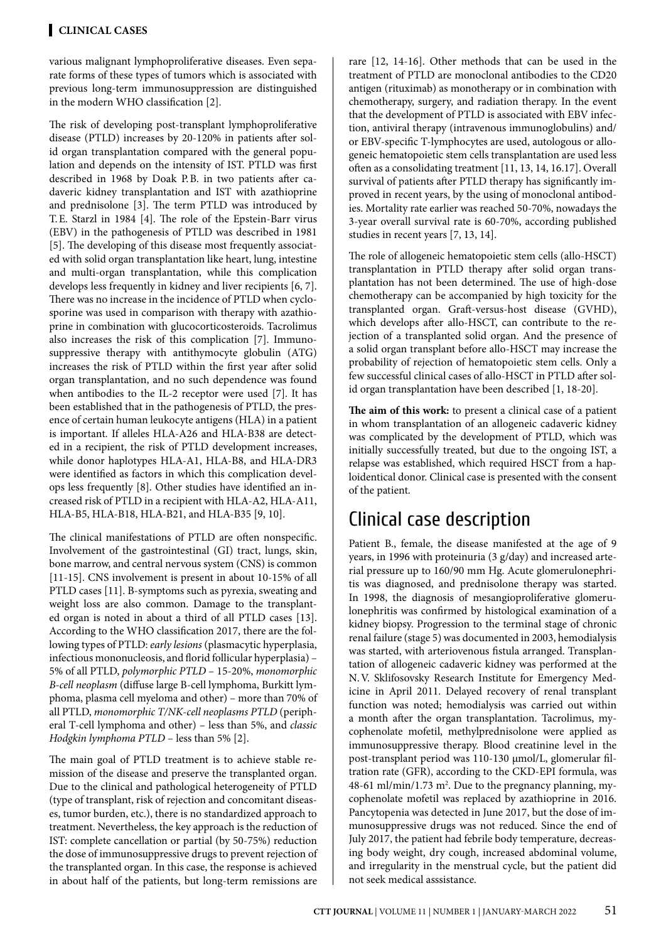various malignant lymphoproliferative diseases. Even separate forms of these types of tumors which is associated with previous long-term immunosuppression are distinguished in the modern WHO classification [2].

The risk of developing post-transplant lymphoproliferative disease (PTLD) increases by 20-120% in patients after solid organ transplantation compared with the general population and depends on the intensity of IST. PTLD was first described in 1968 by Doak P.B. in two patients after cadaveric kidney transplantation and IST with azathioprine and prednisolone [3]. The term PTLD was introduced by T.E. Starzl in 1984 [4]. The role of the Epstein-Barr virus (EBV) in the pathogenesis of PTLD was described in 1981 [5]. The developing of this disease most frequently associated with solid organ transplantation like heart, lung, intestine and multi-organ transplantation, while this complication develops less frequently in kidney and liver recipients [6, 7]. There was no increase in the incidence of PTLD when cyclosporine was used in comparison with therapy with azathioprine in combination with glucocorticosteroids. Tacrolimus also increases the risk of this complication [7]. Immunosuppressive therapy with antithymocyte globulin (ATG) increases the risk of PTLD within the first year after solid organ transplantation, and no such dependence was found when antibodies to the IL-2 receptor were used [7]. It has been established that in the pathogenesis of PTLD, the presence of certain human leukocyte antigens (HLA) in a patient is important. If alleles HLA-A26 and HLA-B38 are detected in a recipient, the risk of PTLD development increases, while donor haplotypes HLA-A1, HLA-B8, and HLA-DR3 were identified as factors in which this complication develops less frequently [8]. Other studies have identified an increased risk of PTLD in a recipient with HLA-A2, HLA-A11, HLA-B5, HLA-B18, HLA-B21, and HLA-B35 [9, 10].

The clinical manifestations of PTLD are often nonspecific. Involvement of the gastrointestinal (GI) tract, lungs, skin, bone marrow, and central nervous system (CNS) is common [11-15]. CNS involvement is present in about 10-15% of all PTLD cases [11]. B-symptoms such as pyrexia, sweating and weight loss are also common. Damage to the transplanted organ is noted in about a third of all PTLD cases [13]. According to the WHO classification 2017, there are the following types of PTLD: *early lesions* (plasmacytic hyperplasia, infectious mononucleosis, and florid follicular hyperplasia) – 5% of all PTLD, *polymorphic PTLD* – 15-20%, *monomorphic B-cell neoplasm* (diffuse large B-cell lymphoma, Burkitt lymphoma, plasma cell myeloma and other) – more than 70% of all PTLD, *monomorphic T/NK-cell neoplasms PTLD* (peripheral T-cell lymphoma and other) – less than 5%, and *classic Hodgkin lymphoma PTLD* – less than 5% [2].

The main goal of PTLD treatment is to achieve stable remission of the disease and preserve the transplanted organ. Due to the clinical and pathological heterogeneity of PTLD (type of transplant, risk of rejection and concomitant diseases, tumor burden, etc.), there is no standardized approach to treatment. Nevertheless, the key approach is the reduction of IST: complete cancellation or partial (by 50-75%) reduction the dose of immunosuppressive drugs to prevent rejection of the transplanted organ. In this case, the response is achieved in about half of the patients, but long-term remissions are

rare [12, 14-16]. Other methods that can be used in the treatment of PTLD are monoclonal antibodies to the CD20 antigen (rituximab) as monotherapy or in combination with chemotherapy, surgery, and radiation therapy. In the event that the development of PTLD is associated with EBV infection, antiviral therapy (intravenous immunoglobulins) and/ or EBV-specific T-lymphocytes are used, autologous or allogeneic hematopoietic stem cells transplantation are used less often as a consolidating treatment [11, 13, 14, 16.17]. Overall survival of patients after PTLD therapy has significantly improved in recent years, by the using of monoclonal antibodies. Mortality rate earlier was reached 50-70%, nowadays the 3-year overall survival rate is 60-70%, according published studies in recent years [7, 13, 14].

The role of allogeneic hematopoietic stem cells (allo-HSCT) transplantation in PTLD therapy after solid organ transplantation has not been determined. The use of high-dose chemotherapy can be accompanied by high toxicity for the transplanted organ. Graft-versus-host disease (GVHD), which develops after allo-HSCT, can contribute to the rejection of a transplanted solid organ. And the presence of a solid organ transplant before allo-HSCT may increase the probability of rejection of hematopoietic stem cells. Only a few successful clinical cases of allo-HSCT in PTLD after solid organ transplantation have been described [1, 18-20].

**The aim of this work:** to present a clinical case of a patient in whom transplantation of an allogeneic cadaveric kidney was complicated by the development of PTLD, which was initially successfully treated, but due to the ongoing IST, a relapse was established, which required HSCT from a haploidentical donor. Clinical case is presented with the consent of the patient.

# Clinical case description

Patient B., female, the disease manifested at the age of 9 years, in 1996 with proteinuria (3 g/day) and increased arterial pressure up to 160/90 mm Hg. Acute glomerulonephritis was diagnosed, and prednisolone therapy was started. In 1998, the diagnosis of mesangioproliferative glomerulonephritis was confirmed by histological examination of a kidney biopsy. Progression to the terminal stage of chronic renal failure (stage 5) was documented in 2003, hemodialysis was started, with arteriovenous fistula arranged. Transplantation of allogeneic cadaveric kidney was performed at the N.V. Sklifosovsky Research Institute for Emergency Medicine in April 2011. Delayed recovery of renal transplant function was noted; hemodialysis was carried out within a month after the organ transplantation. Tacrolimus, mycophenolate mofetil, methylprednisolone were applied as immunosuppressive therapy. Blood creatinine level in the post-transplant period was 110-130 μmol/L, glomerular filtration rate (GFR), according to the CKD-EPI formula, was 48-61 ml/min/1.73 m<sup>2</sup>. Due to the pregnancy planning, mycophenolate mofetil was replaced by azathioprine in 2016. Pancytopenia was detected in June 2017, but the dose of immunosuppressive drugs was not reduced. Since the end of July 2017, the patient had febrile body temperature, decreasing body weight, dry cough, increased abdominal volume, and irregularity in the menstrual cycle, but the patient did not seek medical asssistance.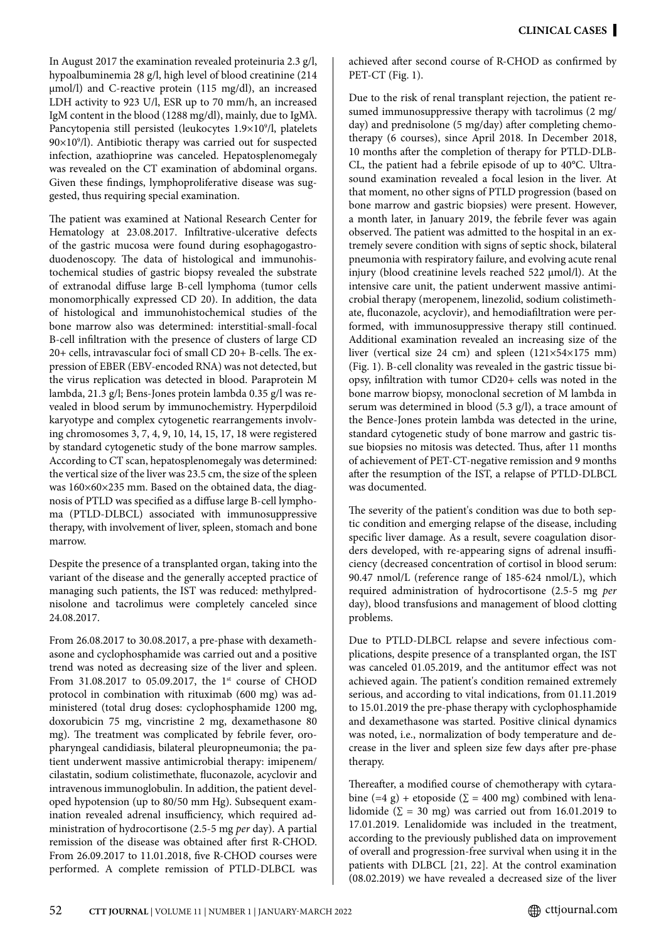In August 2017 the examination revealed proteinuria 2.3 g/l, hypoalbuminemia 28 g/l, high level of blood creatinine (214 μmol/l) and C-reactive protein (115 mg/dl), an increased LDH activity to 923 U/l, ESR up to 70 mm/h, an increased IgM content in the blood (1288 mg/dl), mainly, due to IgMλ. Pancytopenia still persisted (leukocytes 1.9×10<sup>9</sup>/l, platelets 90×109 /l). Antibiotic therapy was carried out for suspected infection, azathioprine was canceled. Hepatosplenomegaly was revealed on the CT examination of abdominal organs. Given these findings, lymphoproliferative disease was suggested, thus requiring special examination.

The patient was examined at National Research Center for Hematology at 23.08.2017. Infiltrative-ulcerative defects of the gastric mucosa were found during esophagogastroduodenoscopy. The data of histological and immunohistochemical studies of gastric biopsy revealed the substrate of extranodal diffuse large B-cell lymphoma (tumor cells monomorphically expressed CD 20). In addition, the data of histological and immunohistochemical studies of the bone marrow also was determined: interstitial-small-focal B-cell infiltration with the presence of clusters of large CD 20+ cells, intravascular foci of small CD 20+ B-cells. The expression of EBER (EBV-encoded RNA) was not detected, but the virus replication was detected in blood. Paraprotein M lambda, 21.3 g/l; Bens-Jones protein lambda 0.35 g/l was revealed in blood serum by immunochemistry. Hyperpdiloid karyotype and complex cytogenetic rearrangements involving chromosomes 3, 7, 4, 9, 10, 14, 15, 17, 18 were registered by standard cytogenetic study of the bone marrow samples. According to CT scan, hepatosplenomegaly was determined: the vertical size of the liver was 23.5 cm, the size of the spleen was 160×60×235 mm. Based on the obtained data, the diagnosis of PTLD was specified as a diffuse large B-cell lymphoma (PTLD-DLBCL) associated with immunosuppressive therapy, with involvement of liver, spleen, stomach and bone marrow.

Despite the presence of a transplanted organ, taking into the variant of the disease and the generally accepted practice of managing such patients, the IST was reduced: methylprednisolone and tacrolimus were completely canceled since 24.08.2017.

From 26.08.2017 to 30.08.2017, a pre-phase with dexamethasone and cyclophosphamide was carried out and a positive trend was noted as decreasing size of the liver and spleen. From 31.08.2017 to 05.09.2017, the  $1<sup>st</sup>$  course of CHOD protocol in combination with rituximab (600 mg) was administered (total drug doses: cyclophosphamide 1200 mg, doxorubicin 75 mg, vincristine 2 mg, dexamethasone 80 mg). The treatment was complicated by febrile fever, oropharyngeal candidiasis, bilateral pleuropneumonia; the patient underwent massive antimicrobial therapy: imipenem/ cilastatin, sodium colistimethate, fluconazole, acyclovir and intravenous immunoglobulin. In addition, the patient developed hypotension (up to 80/50 mm Hg). Subsequent examination revealed adrenal insufficiency, which required administration of hydrocortisone (2.5-5 mg *per* day). A partial remission of the disease was obtained after first R-CHOD. From 26.09.2017 to 11.01.2018, five R-CHOD courses were performed. A complete remission of PTLD-DLBCL was achieved after second course of R-CHOD as confirmed by PET-CT (Fig. 1).

Due to the risk of renal transplant rejection, the patient resumed immunosuppressive therapy with tacrolimus (2 mg/ day) and prednisolone (5 mg/day) after completing chemotherapy (6 courses), since April 2018. In December 2018, 10 months after the completion of therapy for PTLD-DLB-CL, the patient had a febrile episode of up to 40°C. Ultrasound examination revealed a focal lesion in the liver. At that moment, no other signs of PTLD progression (based on bone marrow and gastric biopsies) were present. However, a month later, in January 2019, the febrile fever was again observed. The patient was admitted to the hospital in an extremely severe condition with signs of septic shock, bilateral pneumonia with respiratory failure, and evolving acute renal injury (blood creatinine levels reached 522 μmol/l). At the intensive care unit, the patient underwent massive antimicrobial therapy (meropenem, linezolid, sodium colistimethate, fluconazole, acyclovir), and hemodiafiltration were performed, with immunosuppressive therapy still continued. Additional examination revealed an increasing size of the liver (vertical size 24 cm) and spleen (121×54×175 mm) (Fig. 1). B-cell clonality was revealed in the gastric tissue biopsy, infiltration with tumor CD20+ cells was noted in the bone marrow biopsy, monoclonal secretion of M lambda in serum was determined in blood (5.3 g/l), a trace amount of the Bence-Jones protein lambda was detected in the urine, standard cytogenetic study of bone marrow and gastric tissue biopsies no mitosis was detected. Thus, after 11 months of achievement of PET-CT-negative remission and 9 months after the resumption of the IST, a relapse of PTLD-DLBCL was documented.

The severity of the patient's condition was due to both septic condition and emerging relapse of the disease, including specific liver damage. As a result, severe coagulation disorders developed, with re-appearing signs of adrenal insufficiency (decreased concentration of cortisol in blood serum: 90.47 nmol/L (reference range of 185-624 nmol/L), which required administration of hydrocortisone (2.5-5 mg *per* day), blood transfusions and management of blood clotting problems.

Due to PTLD-DLBCL relapse and severe infectious complications, despite presence of a transplanted organ, the IST was canceled 01.05.2019, and the antitumor effect was not achieved again. The patient's condition remained extremely serious, and according to vital indications, from 01.11.2019 to 15.01.2019 the pre-phase therapy with cyclophosphamide and dexamethasone was started. Positive clinical dynamics was noted, i.e., normalization of body temperature and decrease in the liver and spleen size few days after pre-phase therapy.

Thereafter, a modified course of chemotherapy with cytarabine (=4 g) + etoposide ( $\Sigma$  = 400 mg) combined with lenalidomide ( $\Sigma = 30$  mg) was carried out from 16.01.2019 to 17.01.2019. Lenalidomide was included in the treatment, according to the previously published data on improvement of overall and progression-free survival when using it in the patients with DLBCL [21, 22]. At the control examination (08.02.2019) we have revealed a decreased size of the liver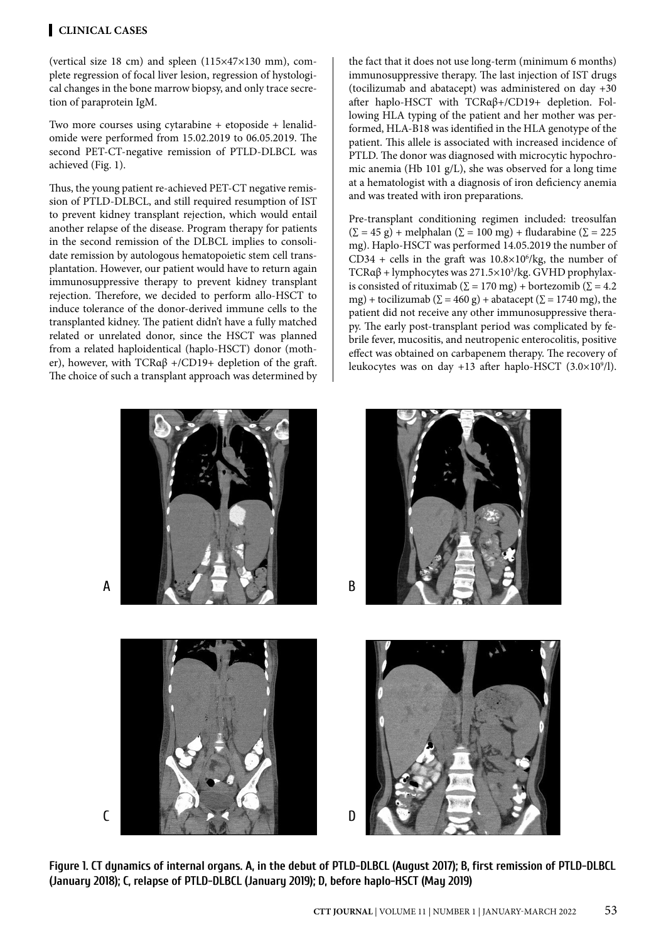#### **Clinical CASEs**

(vertical size 18 cm) and spleen (115×47×130 mm), complete regression of focal liver lesion, regression of hystological changes in the bone marrow biopsy, and only trace secretion of paraprotein IgM.

Two more courses using cytarabine + etoposide + lenalidomide were performed from 15.02.2019 to 06.05.2019. The second PET-CT-negative remission of PTLD-DLBCL was achieved (Fig. 1).

Thus, the young patient re-achieved PET-СТ negative remission of PTLD-DLBCL, and still required resumption of IST to prevent kidney transplant rejection, which would entail another relapse of the disease. Program therapy for patients in the second remission of the DLBCL implies to consolidate remission by autologous hematopoietic stem cell transplantation. However, our patient would have to return again immunosuppressive therapy to prevent kidney transplant rejection. Therefore, we decided to perform allo-HSCT to induce tolerance of the donor-derived immune cells to the transplanted kidney. The patient didn't have a fully matched related or unrelated donor, since the HSCT was planned from a related haploidentical (haplo-HSCT) donor (mother), however, with TCRαβ +/CD19+ depletion of the graft. The choice of such a transplant approach was determined by the fact that it does not use long-term (minimum 6 months) immunosuppressive therapy. The last injection of IST drugs (tocilizumab and abatacept) was administered on day +30 after haplo-HSCT with TCRαβ+/CD19+ depletion. Following HLA typing of the patient and her mother was performed, HLA-B18 was identified in the HLA genotype of the patient. This allele is associated with increased incidence of PTLD. The donor was diagnosed with microcytic hypochromic anemia (Hb 101 g/L), she was observed for a long time at a hematologist with a diagnosis of iron deficiency anemia and was treated with iron preparations.

Pre-transplant conditioning regimen included: treosulfan  $(\Sigma = 45 \text{ g}) + \text{melphalan} (\Sigma = 100 \text{ mg}) + \text{fludarabine} (\Sigma = 225$ mg). Haplo-HSCT was performed 14.05.2019 the number of CD34 + cells in the graft was  $10.8 \times 10^6$ /kg, the number of TCRαβ + lymphocytes was 271.5×103 /kg. GVHD prophylaxis consisted of rituximab ( $\Sigma = 170$  mg) + bortezomib ( $\Sigma = 4.2$ mg) + tocilizumab ( $\Sigma = 460$  g) + abatacept ( $\Sigma = 1740$  mg), the patient did not receive any other immunosuppressive therapy. The early post-transplant period was complicated by febrile fever, mucositis, and neutropenic enterocolitis, positive effect was obtained on carbapenem therapy. The recovery of leukocytes was on day +13 after haplo-HSCT  $(3.0 \times 10^9/l)$ .



A







**Figure 1. CT dynamics of internal organs. A, in the debut of PTLD-DLBCL (August 2017); B, first remission of PTLD-DLBCL (January 2018); C, relapse of PTLD-DLBCL (January 2019); D, before haplo-HSCT (May 2019)**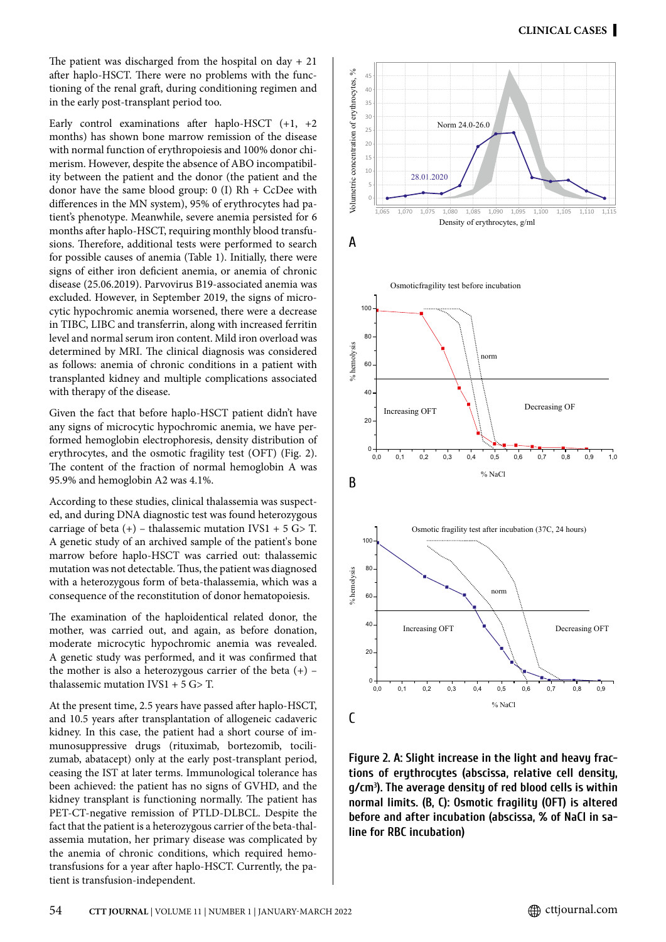The patient was discharged from the hospital on day  $+21$ after haplo-HSCT. There were no problems with the functioning of the renal graft, during conditioning regimen and in the early post-transplant period too.

Early control examinations after haplo-HSCT (+1, +2 months) has shown bone marrow remission of the disease with normal function of erythropoiesis and 100% donor chimerism. However, despite the absence of ABO incompatibility between the patient and the donor (the patient and the donor have the same blood group:  $0$  (I) Rh + CcDee with differences in the MN system), 95% of erythrocytes had patient's phenotype. Meanwhile, severe anemia persisted for 6 months after haplo-HSCT, requiring monthly blood transfusions. Therefore, additional tests were performed to search for possible causes of anemia (Table 1). Initially, there were signs of either iron deficient anemia, or anemia of chronic disease (25.06.2019). Parvovirus B19-associated anemia was excluded. However, in September 2019, the signs of microcytic hypochromic anemia worsened, there were a decrease in TIBC, LIBC and transferrin, along with increased ferritin level and normal serum iron content. Mild iron overload was determined by MRI. The clinical diagnosis was considered as follows: anemia of chronic conditions in a patient with transplanted kidney and multiple complications associated with therapy of the disease.

Given the fact that before haplo-HSCT patient didn't have any signs of microcytic hypochromic anemia, we have performed hemoglobin electrophoresis, density distribution of erythrocytes, and the osmotic fragility test (OFT) (Fig. 2). The content of the fraction of normal hemoglobin A was 95.9% and hemoglobin A2 was 4.1%.

According to these studies, clinical thalassemia was suspected, and during DNA diagnostic test was found heterozygous carriage of beta  $(+)$  – thalassemic mutation IVS1 + 5 G> T. A genetic study of an archived sample of the patient's bone marrow before haplo-HSCT was carried out: thalassemic mutation was not detectable. Thus, the patient was diagnosed with a heterozygous form of beta-thalassemia, which was a consequence of the reconstitution of donor hematopoiesis.

The examination of the haploidentical related donor, the mother, was carried out, and again, as before donation, moderate microcytic hypochromic anemia was revealed. A genetic study was performed, and it was confirmed that the mother is also a heterozygous carrier of the beta  $(+)$  – thalassemic mutation  $IVS1 + 5 G > T$ .

At the present time, 2.5 years have passed after haplo-HSCT, and 10.5 years after transplantation of allogeneic cadaveric kidney. In this case, the patient had a short course of immunosuppressive drugs (rituximab, bortezomib, tocilizumab, abatacept) only at the early post-transplant period, ceasing the IST at later terms. Immunological tolerance has been achieved: the patient has no signs of GVHD, and the kidney transplant is functioning normally. The patient has PET-CT-negative remission of PTLD-DLBCL. Despite the fact that the patient is a heterozygous carrier of the beta-thalassemia mutation, her primary disease was complicated by the anemia of chronic conditions, which required hemotransfusions for a year after haplo-HSCT. Currently, the patient is transfusion-independent.







**Figure 2. A: Slight increase in the light and heavy fractions of erythrocytes (abscissa, relative cell density, g/cm3 ). The average density of red blood cells is within normal limits. (B, C): Osmotic fragility (OFT) is altered before and after incubation (abscissa, % of NaCl in saline for RBC incubation)**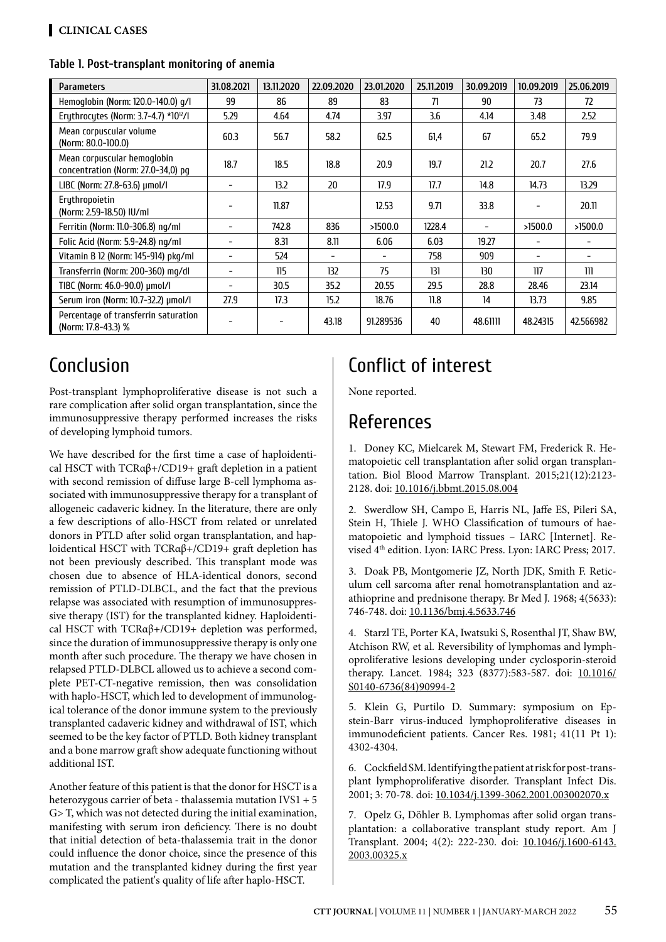#### **Table 1. Post-transplant monitoring of anemia**

| Parameters                                                        | 31.08.2021 | 13.11.2020 | 22.09.2020 | 23.01.2020 | 25.11.2019 | 30.09.2019 | 10.09.2019                   | 25.06.2019 |
|-------------------------------------------------------------------|------------|------------|------------|------------|------------|------------|------------------------------|------------|
| Hemoglobin (Norm: 120.0-140.0) g/l                                | 99         | 86         | 89         | 83         | 71         | 90         | 73                           | 72         |
| Erythrocytes (Norm: 3.7-4.7) *10 <sup>12</sup> /l                 | 5.29       | 4.64       | 4.74       | 3.97       | 3.6        | 4.14       | 3.48                         | 2.52       |
| Mean corpuscular volume<br>(Norm: 80.0-100.0)                     | 60.3       | 56.7       | 58.2       | 62.5       | 61,4       | 67         | 65.2                         | 79.9       |
| Mean corpuscular hemoglobin<br>concentration (Norm: 27.0-34,0) pq | 18.7       | 18.5       | 18.8       | 20.9       | 19.7       | 21.2       | 20.7                         | 27.6       |
| LIBC (Norm: 27.8-63.6) µmol/l                                     |            | 13.2       | 20         | 17.9       | 17.7       | 14.8       | 14.73                        | 13.29      |
| Eruthropoietin<br>(Norm: 2.59-18.50) IU/ml                        |            | 11.87      |            | 12.53      | 9.71       | 33.8       |                              | 20.11      |
| Ferritin (Norm: 11.0-306.8) ng/ml                                 |            | 742.8      | 836        | >1500.0    | 1228.4     |            | >1500.0                      | >1500.0    |
| Folic Acid (Norm: 5.9-24.8) ng/ml                                 |            | 8.31       | 8.11       | 6.06       | 6.03       | 19.27      |                              |            |
| Vitamin B 12 (Norm: 145-914) pkg/ml                               |            | 524        |            |            | 758        | 909        | $\qquad \qquad \blacksquare$ |            |
| Transferrin (Norm: 200-360) mg/dl                                 |            | 115        | 132        | 75         | 131        | 130        | 117                          | 111        |
| TIBC (Norm: 46.0-90.0) µmol/l                                     |            | 30.5       | 35.2       | 20.55      | 29.5       | 28.8       | 28.46                        | 23.14      |
| Serum iron (Norm: 10.7-32.2) µmol/l                               | 27.9       | 17.3       | 15.2       | 18.76      | 11.8       | 14         | 13.73                        | 9.85       |
| Percentage of transferrin saturation<br>(Norm: 17.8-43.3) %       |            |            | 43.18      | 91.289536  | 40         | 48.61111   | 48.24315                     | 42.566982  |

# Conclusion

Post-transplant lymphoproliferative disease is not such a rare complication after solid organ transplantation, since the immunosuppressive therapy performed increases the risks of developing lymphoid tumors.

We have described for the first time a case of haploidentical HSCT with TCRαβ+/CD19+ graft depletion in a patient with second remission of diffuse large B-cell lymphoma associated with immunosuppressive therapy for a transplant of allogeneic cadaveric kidney. In the literature, there are only a few descriptions of allo-HSCT from related or unrelated donors in PTLD after solid organ transplantation, and haploidentical HSCT with TCRαβ+/CD19+ graft depletion has not been previously described. This transplant mode was chosen due to absence of HLA-identical donors, second remission of PTLD-DLBCL, and the fact that the previous relapse was associated with resumption of immunosuppressive therapy (IST) for the transplanted kidney. Haploidentical HSCT with TCRαβ+/CD19+ depletion was performed, since the duration of immunosuppressive therapy is only one month after such procedure. The therapy we have chosen in relapsed PTLD-DLBCL allowed us to achieve a second complete PET-CT-negative remission, then was consolidation with haplo-HSCT, which led to development of immunological tolerance of the donor immune system to the previously transplanted cadaveric kidney and withdrawal of IST, which seemed to be the key factor of PTLD. Both kidney transplant and a bone marrow graft show adequate functioning without additional IST.

Another feature of this patient is that the donor for HSCT is a heterozygous carrier of beta - thalassemia mutation IVS1 + 5 G> T, which was not detected during the initial examination, manifesting with serum iron deficiency. There is no doubt that initial detection of beta-thalassemia trait in the donor could influence the donor choice, since the presence of this mutation and the transplanted kidney during the first year complicated the patient's quality of life after haplo-HSCT.

# Conflict of interest

None reported.

# References

1. Doney KC, Mielcarek M, Stewart FM, Frederick R. Hematopoietic cell transplantation after solid organ transplantation. Biol Blood Marrow Transplant. 2015;21(12):2123- 2128. doi: [10.1016/j.bbmt.2015.08.004](http://doi.org/10.1016/j.bbmt.2015.08.004)

2. Swerdlow SH, Campo E, Harris NL, Jaffe ES, Pileri SA, Stein H, Thiele J. WHO Classification of tumours of haematopoietic and lymphoid tissues – IARC [Internet]. Revised 4<sup>th</sup> edition. Lyon: IARC Press. Lyon: IARC Press; 2017.

3. Doak PB, Montgomerie JZ, North JDK, Smith F. Reticulum cell sarcoma after renal homotransplantation and azathioprine and prednisone therapy. Br Med J. 1968; 4(5633): 746-748. doi: [10.1136/bmj.4.5633.746](http://doi.org/10.1136/bmj.4.5633.746)

4. Starzl TE, Porter KA, Iwatsuki S, Rosenthal JT, Shaw BW, Atchison RW, et al. Reversibility of lymphomas and lymphoproliferative lesions developing under cyclosporin-steroid therapy. Lancet. 1984; 323 (8377):583-587. doi: [10.1016/](http://doi.org/10.1016/S0140-6736%2884%2990994-2) [S0140-6736\(84\)90994-2](http://doi.org/10.1016/S0140-6736%2884%2990994-2)

5. Klein G, Purtilo D. Summary: symposium on Epstein-Barr virus-induced lymphoproliferative diseases in immunodeficient patients. Cancer Res. 1981; 41(11 Pt 1): 4302-4304.

6. Cockfield SM. Identifying the patient at risk for post-transplant lymphoproliferative disorder. Transplant Infect Dis. 2001; 3: 70-78. doi: [10.1034/j.1399-3062.2001.003002070.x](http://doi.org/10.1034/j.1399-3062.2001.003002070.x)

7. Opelz G, Döhler B. Lymphomas after solid organ transplantation: a collaborative transplant study report. Am J Transplant. 2004; 4(2): 222-230. doi: [10.1046/j.1600-6143.](http://doi.org/10.1046/j.1600-6143.2003.00325.x) [2003.00325.x](http://doi.org/10.1046/j.1600-6143.2003.00325.x)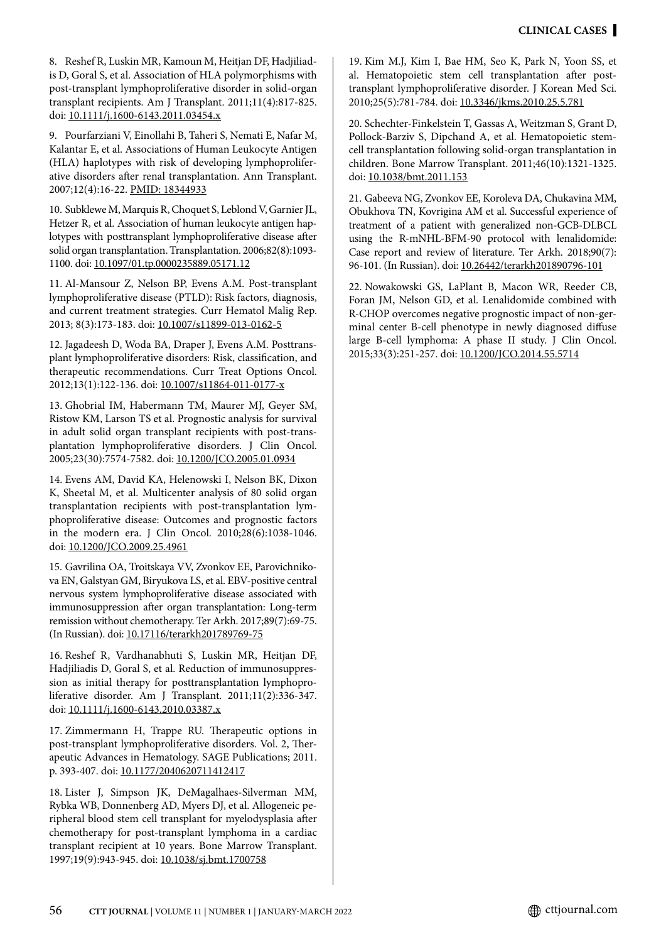8. Reshef R, Luskin MR, Kamoun M, Heitjan DF, Hadjiliadis D, Goral S, et al. Association of HLA polymorphisms with post-transplant lymphoproliferative disorder in solid-organ transplant recipients. Am J Transplant. 2011;11(4):817-825. doi: [10.1111/j.1600-6143.2011.03454.x](http://doi.org/10.1111/j.1600-6143.2011.03454.x)

9. Pourfarziani V, Einollahi B, Taheri S, Nemati E, Nafar M, Kalantar E, et al. Associations of Human Leukocyte Antigen (HLA) haplotypes with risk of developing lymphoproliferative disorders after renal transplantation. Ann Transplant. 2007;12(4):16-22. [PMID: 18344933](https://pubmed.ncbi.nlm.nih.gov/18344933/)

10. Subklewe M, Marquis R, Choquet S, Leblond V, Garnier JL, Hetzer R, et al. Association of human leukocyte antigen haplotypes with posttransplant lymphoproliferative disease after solid organ transplantation. Transplantation. 2006;82(8):1093- 1100. doi: [10.1097/01.tp.0000235889.05171.12](http://doi.org/10.1097/01.tp.0000235889.05171.12)

11. Al-Mansour Z, Nelson BP, Evens A.M. Post-transplant lymphoproliferative disease (PTLD): Risk factors, diagnosis, and current treatment strategies. Curr Hematol Malig Rep. 2013; 8(3):173-183. doi: [10.1007/s11899-013-0162-5](http://doi.org/10.1007/s11899-013-0162-5)

12. Jagadeesh D, Woda BA, Draper J, Evens A.M. Posttransplant lymphoproliferative disorders: Risk, classification, and therapeutic recommendations. Curr Treat Options Oncol. 2012;13(1):122-136. doi: [10.1007/s11864-011-0177-x](http://doi.org/10.1007/s11864-011-0177-x)

13. Ghobrial IM, Habermann TM, Maurer MJ, Geyer SM, Ristow KM, Larson TS et al. Prognostic analysis for survival in adult solid organ transplant recipients with post-transplantation lymphoproliferative disorders. J Clin Oncol. 2005;23(30):7574-7582. doi: [10.1200/JCO.2005.01.0934](http://doi.org/10.1200/JCO.2005.01.0934)

14. Evens AM, David KA, Helenowski I, Nelson BK, Dixon K, Sheetal M, et al. Multicenter analysis of 80 solid organ transplantation recipients with post-transplantation lymphoproliferative disease: Outcomes and prognostic factors in the modern era. J Clin Oncol. 2010;28(6):1038-1046. doi: [10.1200/JCO.2009.25.4961](http://doi.org/10.1200/JCO.2009.25.4961)

15. Gavrilina OA, Troitskaya VV, Zvonkov EE, Parovichnikova EN, Galstyan GM, Biryukova LS, et al. EBV-positive central nervous system lymphoproliferative disease associated with immunosuppression after organ transplantation: Long-term remission without chemotherapy. Ter Arkh. 2017;89(7):69-75. (In Russian). doi: [10.17116/terarkh201789769-75](http://doi.org/10.17116/terarkh201789769-75)

16. Reshef R, Vardhanabhuti S, Luskin MR, Heitjan DF, Hadjiliadis D, Goral S, et al. Reduction of immunosuppression as initial therapy for posttransplantation lymphoproliferative disorder. Am J Transplant. 2011;11(2):336-347. doi: [10.1111/j.1600-6143.2010.03387.x](http://doi.org/10.1111/j.1600-6143.2010.03387.x)

17. Zimmermann H, Trappe RU. Therapeutic options in post-transplant lymphoproliferative disorders. Vol. 2, Therapeutic Advances in Hematology. SAGE Publications; 2011. p. 393-407. doi: [10.1177/2040620711412417](http://doi.org/10.1177/2040620711412417)

18. Lister J, Simpson JK, DeMagalhaes-Silverman MM, Rybka WB, Donnenberg AD, Myers DJ, et al. Allogeneic peripheral blood stem cell transplant for myelodysplasia after chemotherapy for post-transplant lymphoma in a cardiac transplant recipient at 10 years. Bone Marrow Transplant. 1997;19(9):943-945. doi: [10.1038/sj.bmt.1700758](http://doi.org/10.1038/sj.bmt.1700758)

19. Kim M.J, Kim I, Bae HM, Seo K, Park N, Yoon SS, et al. Hematopoietic stem cell transplantation after posttransplant lymphoproliferative disorder. J Korean Med Sci. 2010;25(5):781-784. doi: [10.3346/jkms.2010.25.5.781](http://doi.org/10.3346/jkms.2010.25.5.781)

20. Schechter-Finkelstein T, Gassas A, Weitzman S, Grant D, Pollock-Barziv S, Dipchand A, et al. Hematopoietic stemcell transplantation following solid-organ transplantation in children. Bone Marrow Transplant. 2011;46(10):1321-1325. doi: [10.1038/bmt.2011.153](http://doi.org/10.1038/bmt.2011.153)

21. Gabeeva NG, Zvonkov EE, Koroleva DA, Chukavina MM, Obukhova TN, Kovrigina AM et al. Successful experience of treatment of a patient with generalized non-GCB-DLBCL using the R-mNHL-BFM-90 protocol with lenalidomide: Case report and review of literature. Ter Arkh. 2018;90(7): 96-101. (In Russian). doi: [10.26442/terarkh201890796-101](http://doi.org/10.26442/terarkh201890796-101)

22. Nowakowski GS, LaPlant B, Macon WR, Reeder CB, Foran JM, Nelson GD, et al. Lenalidomide combined with R-CHOP overcomes negative prognostic impact of non-germinal center B-cell phenotype in newly diagnosed diffuse large B-cell lymphoma: A phase II study. J Clin Oncol. 2015;33(3):251-257. doi: [10.1200/JCO.2014.55.5714](http://doi.org/10.1200/JCO.2014.55.5714)